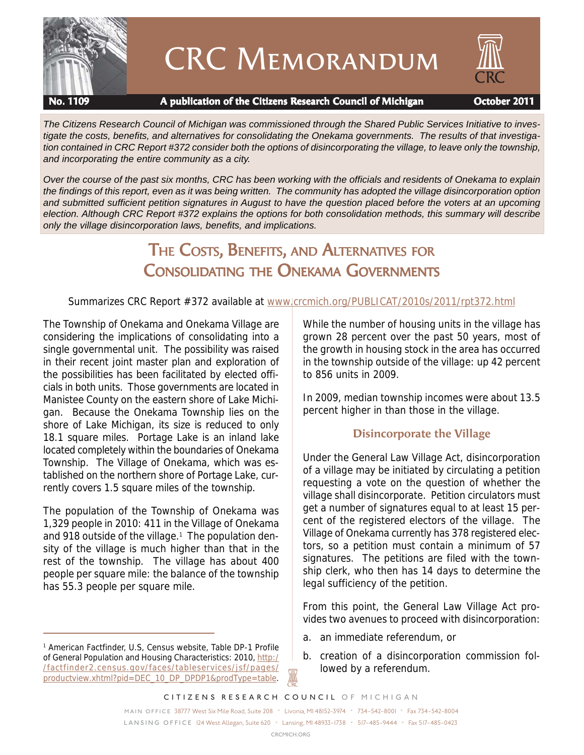

# CRC Memorandum



#### **No. 1109 A publication of the Citizens Research Council of Michigan October 2011**

*The Citizens Research Council of Michigan was commissioned through the Shared Public Services Initiative to investigate the costs, benefits, and alternatives for consolidating the Onekama governments. The results of that investigation contained in CRC Report #372 consider both the options of disincorporating the village, to leave only the township, and incorporating the entire community as a city.*

*Over the course of the past six months, CRC has been working with the officials and residents of Onekama to explain the findings of this report, even as it was being written. The community has adopted the village disincorporation option and submitted sufficient petition signatures in August to have the question placed before the voters at an upcoming election. Although CRC Report #372 explains the options for both consolidation methods, this summary will describe only the village disincorporation laws, benefits, and implications.*

## THE COSTS, BENEFITS, AND ALTERNATIVES FOR CONSOLIDATING THE ONEKAMA GOVERNMENTS

Summarizes CRC Report #372 available at www.crcmich.org/PUBLICAT/2010s/2011/rpt372.html

The Township of Onekama and Onekama Village are considering the implications of consolidating into a single governmental unit. The possibility was raised in their recent joint master plan and exploration of the possibilities has been facilitated by elected officials in both units. Those governments are located in Manistee County on the eastern shore of Lake Michigan. Because the Onekama Township lies on the shore of Lake Michigan, its size is reduced to only 18.1 square miles. Portage Lake is an inland lake located completely within the boundaries of Onekama Township. The Village of Onekama, which was established on the northern shore of Portage Lake, currently covers 1.5 square miles of the township.

The population of the Township of Onekama was 1,329 people in 2010: 411 in the Village of Onekama and 918 outside of the village.<sup>1</sup> The population density of the village is much higher than that in the rest of the township. The village has about 400 people per square mile: the balance of the township has 55.3 people per square mile.

While the number of housing units in the village has grown 28 percent over the past 50 years, most of the growth in housing stock in the area has occurred in the township outside of the village: up 42 percent to 856 units in 2009.

In 2009, median township incomes were about 13.5 percent higher in than those in the village.

## **Disincorporate the Village**

Under the General Law Village Act, disincorporation of a village may be initiated by circulating a petition requesting a vote on the question of whether the village shall disincorporate. Petition circulators must get a number of signatures equal to at least 15 percent of the registered electors of the village. The Village of Onekama currently has 378 registered electors, so a petition must contain a minimum of 57 signatures. The petitions are filed with the township clerk, who then has 14 days to determine the legal sufficiency of the petition.

From this point, the General Law Village Act provides two avenues to proceed with disincorporation:

- a. an immediate referendum, or
- b. creation of a disincorporation commission followed by a referendum.

A

<sup>1</sup> American Factfinder, U.S, Census website, Table DP-1 Profile of General Population and Housing Characteristics: 2010, http:/ /factfinder2.census.gov/faces/tableservices/jsf/pages/ productview.xhtml?pid=DEC\_10\_DP\_DPDP1&prodType=table.

*CITIZENS RESEARCH COUNCIL OF MICHIGAN*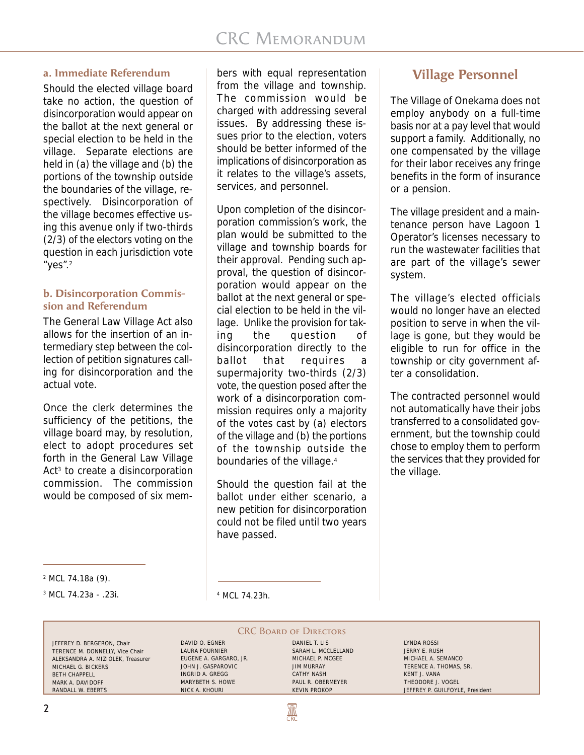#### **a. Immediate Referendum**

Should the elected village board take no action, the question of disincorporation would appear on the ballot at the next general or special election to be held in the village. Separate elections are held in (a) the village and (b) the portions of the township outside the boundaries of the village, respectively. Disincorporation of the village becomes effective using this avenue only if two-thirds (2/3) of the electors voting on the question in each jurisdiction vote "yes".2

#### **b. Disincorporation Commission and Referendum**

The General Law Village Act also allows for the insertion of an intermediary step between the collection of petition signatures calling for disincorporation and the actual vote.

Once the clerk determines the sufficiency of the petitions, the village board may, by resolution, elect to adopt procedures set forth in the General Law Village Act<sup>3</sup> to create a disincorporation commission. The commission would be composed of six mem-

bers with equal representation from the village and township. The commission would be charged with addressing several issues. By addressing these issues prior to the election, voters should be better informed of the implications of disincorporation as it relates to the village's assets, services, and personnel.

Upon completion of the disincorporation commission's work, the plan would be submitted to the village and township boards for their approval. Pending such approval, the question of disincorporation would appear on the ballot at the next general or special election to be held in the village. Unlike the provision for taking the question of disincorporation directly to the ballot that requires a supermajority two-thirds (2/3) vote, the question posed after the work of a disincorporation commission requires only a majority of the votes cast by (a) electors of the village and (b) the portions of the township outside the boundaries of the village.4

Should the question fail at the ballot under either scenario, a new petition for disincorporation could not be filed until two years have passed.

## **Village Personnel**

The Village of Onekama does not employ anybody on a full-time basis nor at a pay level that would support a family. Additionally, no one compensated by the village for their labor receives any fringe benefits in the form of insurance or a pension.

The village president and a maintenance person have Lagoon 1 Operator's licenses necessary to run the wastewater facilities that are part of the village's sewer system.

The village's elected officials would no longer have an elected position to serve in when the village is gone, but they would be eligible to run for office in the township or city government after a consolidation.

The contracted personnel would not automatically have their jobs transferred to a consolidated government, but the township could chose to employ them to perform the services that they provided for the village.

 $3 \text{ MCL } 74.23a - .23i.$ 

MCL 74.23h.

JEFFREY D. BERGERON, Chair TERENCE M. DONNELLY, Vice Chair ALEKSANDRA A. MIZIOLEK, Treasurer MICHAEL G. BICKERS BETH CHAPPELL MARK A. DAVIDOFF RANDALL W. EBERTS

DAVID O. EGNER LAURA FOURNIER EUGENE A. GARGARO, JR. JOHN J. GASPAROVIC INGRID A. GREGG MARYBETH S. HOWE NICK A. KHOURI

**CRC BOARD OF DIRECTORS** DANIEL T. LIS SARAH L. MCCLELLAND MICHAEL P. MCGEE JIM MURRAY CATHY NASH PAUL R. OBERMEYER KEVIN PROKOP

₩

LYNDA ROSSI JERRY E. RUSH MICHAEL A. SEMANCO TERENCE A. THOMAS, SR. KENT J. VANA THEODORE J. VOGEL JEFFREY P. GUILFOYLE, President

<sup>2</sup> MCL 74.18a (9).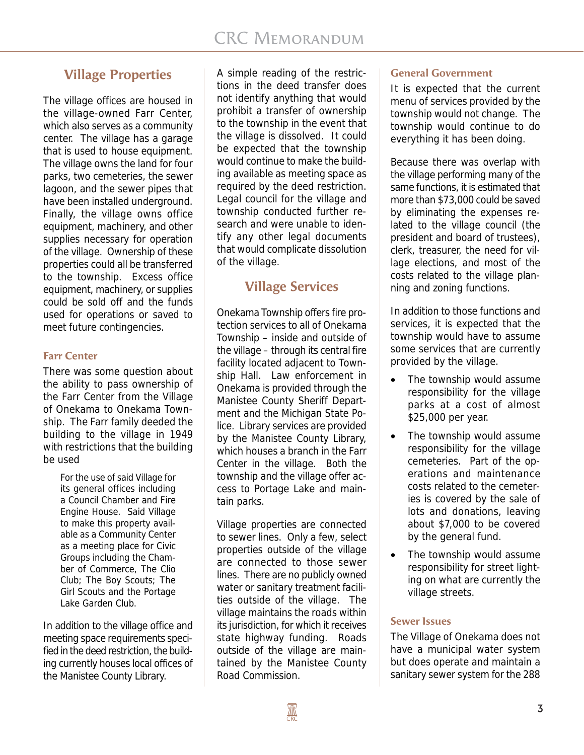## **Village Properties**

The village offices are housed in the village-owned Farr Center, which also serves as a community center. The village has a garage that is used to house equipment. The village owns the land for four parks, two cemeteries, the sewer lagoon, and the sewer pipes that have been installed underground. Finally, the village owns office equipment, machinery, and other supplies necessary for operation of the village. Ownership of these properties could all be transferred to the township. Excess office equipment, machinery, or supplies could be sold off and the funds used for operations or saved to meet future contingencies.

## **Farr Center**

There was some question about the ability to pass ownership of the Farr Center from the Village of Onekama to Onekama Township. The Farr family deeded the building to the village in 1949 with restrictions that the building be used

> For the use of said Village for its general offices including a Council Chamber and Fire Engine House. Said Village to make this property available as a Community Center as a meeting place for Civic Groups including the Chamber of Commerce, The Clio Club; The Boy Scouts; The Girl Scouts and the Portage Lake Garden Club.

In addition to the village office and meeting space requirements specified in the deed restriction, the building currently houses local offices of the Manistee County Library.

A simple reading of the restrictions in the deed transfer does not identify anything that would prohibit a transfer of ownership to the township in the event that the village is dissolved. It could be expected that the township would continue to make the building available as meeting space as required by the deed restriction. Legal council for the village and township conducted further research and were unable to identify any other legal documents that would complicate dissolution of the village.

## **Village Services**

Onekama Township offers fire protection services to all of Onekama Township – inside and outside of the village – through its central fire facility located adjacent to Township Hall. Law enforcement in Onekama is provided through the Manistee County Sheriff Department and the Michigan State Police. Library services are provided by the Manistee County Library, which houses a branch in the Farr Center in the village. Both the township and the village offer access to Portage Lake and maintain parks.

Village properties are connected to sewer lines. Only a few, select properties outside of the village are connected to those sewer lines. There are no publicly owned water or sanitary treatment facilities outside of the village. The village maintains the roads within its jurisdiction, for which it receives state highway funding. Roads outside of the village are maintained by the Manistee County Road Commission.

## **General Government**

It is expected that the current menu of services provided by the township would not change. The township would continue to do everything it has been doing.

Because there was overlap with the village performing many of the same functions, it is estimated that more than \$73,000 could be saved by eliminating the expenses related to the village council (the president and board of trustees), clerk, treasurer, the need for village elections, and most of the costs related to the village planning and zoning functions.

In addition to those functions and services, it is expected that the township would have to assume some services that are currently provided by the village.

- The township would assume responsibility for the village parks at a cost of almost \$25,000 per year.
- The township would assume responsibility for the village cemeteries. Part of the operations and maintenance costs related to the cemeteries is covered by the sale of lots and donations, leaving about \$7,000 to be covered by the general fund.
- The township would assume responsibility for street lighting on what are currently the village streets.

#### **Sewer Issues**

The Village of Onekama does not have a municipal water system but does operate and maintain a sanitary sewer system for the 288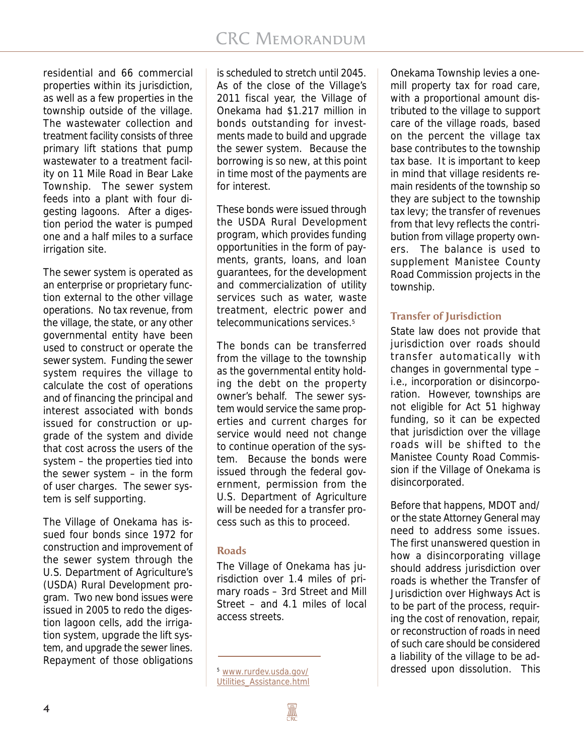residential and 66 commercial properties within its jurisdiction, as well as a few properties in the township outside of the village. The wastewater collection and treatment facility consists of three primary lift stations that pump wastewater to a treatment facility on 11 Mile Road in Bear Lake Township. The sewer system feeds into a plant with four digesting lagoons. After a digestion period the water is pumped one and a half miles to a surface irrigation site.

The sewer system is operated as an enterprise or proprietary function external to the other village operations. No tax revenue, from the village, the state, or any other governmental entity have been used to construct or operate the sewer system. Funding the sewer system requires the village to calculate the cost of operations and of financing the principal and interest associated with bonds issued for construction or upgrade of the system and divide that cost across the users of the system – the properties tied into the sewer system – in the form of user charges. The sewer system is self supporting.

The Village of Onekama has issued four bonds since 1972 for construction and improvement of the sewer system through the U.S. Department of Agriculture's (USDA) Rural Development program. Two new bond issues were issued in 2005 to redo the digestion lagoon cells, add the irrigation system, upgrade the lift system, and upgrade the sewer lines. Repayment of those obligations is scheduled to stretch until 2045. As of the close of the Village's 2011 fiscal year, the Village of Onekama had \$1.217 million in bonds outstanding for investments made to build and upgrade the sewer system. Because the borrowing is so new, at this point in time most of the payments are for interest.

These bonds were issued through the USDA Rural Development program, which provides funding opportunities in the form of payments, grants, loans, and loan guarantees, for the development and commercialization of utility services such as water, waste treatment, electric power and telecommunications services.5

The bonds can be transferred from the village to the township as the governmental entity holding the debt on the property owner's behalf. The sewer system would service the same properties and current charges for service would need not change to continue operation of the system. Because the bonds were issued through the federal government, permission from the U.S. Department of Agriculture will be needed for a transfer process such as this to proceed.

## **Roads**

The Village of Onekama has jurisdiction over 1.4 miles of primary roads – 3rd Street and Mill Street – and 4.1 miles of local access streets.

Onekama Township levies a onemill property tax for road care, with a proportional amount distributed to the village to support care of the village roads, based on the percent the village tax base contributes to the township tax base. It is important to keep in mind that village residents remain residents of the township so they are subject to the township tax levy; the transfer of revenues from that levy reflects the contribution from village property owners. The balance is used to supplement Manistee County Road Commission projects in the township.

## **Transfer of Jurisdiction**

State law does not provide that jurisdiction over roads should transfer automatically with changes in governmental type – i.e., incorporation or disincorporation. However, townships are not eligible for Act 51 highway funding, so it can be expected that jurisdiction over the village roads will be shifted to the Manistee County Road Commission if the Village of Onekama is disincorporated.

Before that happens, MDOT and/ or the state Attorney General may need to address some issues. The first unanswered question in how a disincorporating village should address jurisdiction over roads is whether the Transfer of Jurisdiction over Highways Act is to be part of the process, requiring the cost of renovation, repair, or reconstruction of roads in need of such care should be considered a liability of the village to be ad-<sup>5</sup> www.rurdev.usda.gov/ dressed upon dissolution. This

*4*

Utilities\_Assistance.html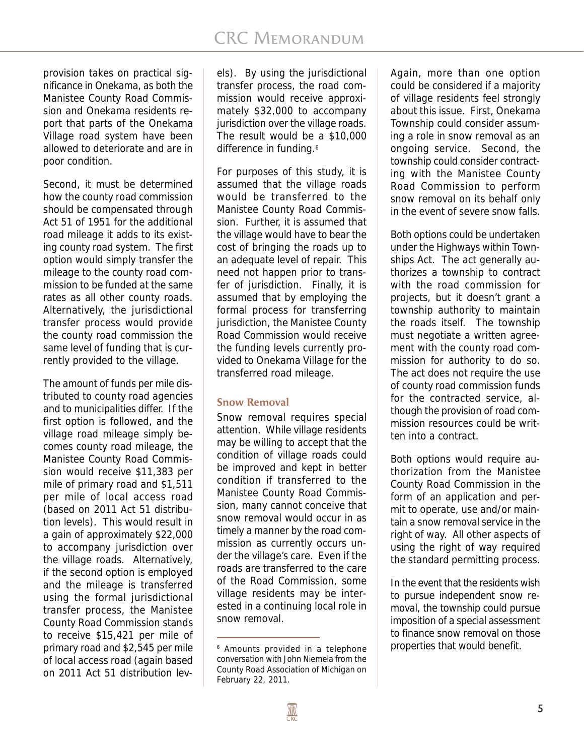provision takes on practical significance in Onekama, as both the Manistee County Road Commission and Onekama residents report that parts of the Onekama Village road system have been allowed to deteriorate and are in poor condition.

Second, it must be determined how the county road commission should be compensated through Act 51 of 1951 for the additional road mileage it adds to its existing county road system. The first option would simply transfer the mileage to the county road commission to be funded at the same rates as all other county roads. Alternatively, the jurisdictional transfer process would provide the county road commission the same level of funding that is currently provided to the village.

The amount of funds per mile distributed to county road agencies and to municipalities differ. If the first option is followed, and the village road mileage simply becomes county road mileage, the Manistee County Road Commission would receive \$11,383 per mile of primary road and \$1,511 per mile of local access road (based on 2011 Act 51 distribution levels). This would result in a gain of approximately \$22,000 to accompany jurisdiction over the village roads. Alternatively, if the second option is employed and the mileage is transferred using the formal jurisdictional transfer process, the Manistee County Road Commission stands to receive \$15,421 per mile of primary road and \$2,545 per mile of local access road (again based on 2011 Act 51 distribution lev-

els). By using the jurisdictional transfer process, the road commission would receive approximately \$32,000 to accompany jurisdiction over the village roads. The result would be a \$10,000 difference in funding.<sup>6</sup>

For purposes of this study, it is assumed that the village roads would be transferred to the Manistee County Road Commission. Further, it is assumed that the village would have to bear the cost of bringing the roads up to an adequate level of repair. This need not happen prior to transfer of jurisdiction. Finally, it is assumed that by employing the formal process for transferring jurisdiction, the Manistee County Road Commission would receive the funding levels currently provided to Onekama Village for the transferred road mileage.

## **Snow Removal**

Snow removal requires special attention. While village residents may be willing to accept that the condition of village roads could be improved and kept in better condition if transferred to the Manistee County Road Commission, many cannot conceive that snow removal would occur in as timely a manner by the road commission as currently occurs under the village's care. Even if the roads are transferred to the care of the Road Commission, some village residents may be interested in a continuing local role in snow removal.

Again, more than one option could be considered if a majority of village residents feel strongly about this issue. First, Onekama Township could consider assuming a role in snow removal as an ongoing service. Second, the township could consider contracting with the Manistee County Road Commission to perform snow removal on its behalf only in the event of severe snow falls.

Both options could be undertaken under the Highways within Townships Act. The act generally authorizes a township to contract with the road commission for projects, but it doesn't grant a township authority to maintain the roads itself. The township must negotiate a written agreement with the county road commission for authority to do so. The act does not require the use of county road commission funds for the contracted service, although the provision of road commission resources could be written into a contract.

Both options would require authorization from the Manistee County Road Commission in the form of an application and permit to operate, use and/or maintain a snow removal service in the right of way. All other aspects of using the right of way required the standard permitting process.

In the event that the residents wish to pursue independent snow removal, the township could pursue imposition of a special assessment to finance snow removal on those  $6$  Amounts provided in a telephone **properties that would benefit.** 

conversation with John Niemela from the County Road Association of Michigan on February 22, 2011.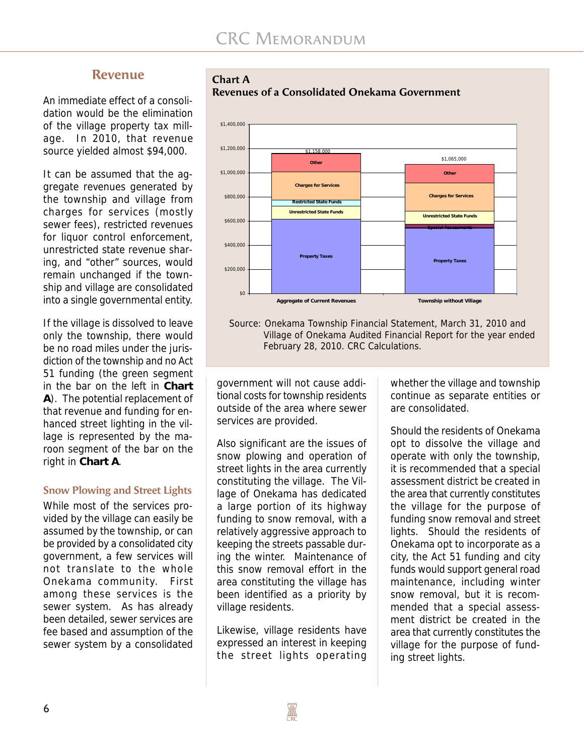## **Revenue**

An immediate effect of a consolidation would be the elimination of the village property tax millage. In 2010, that revenue source yielded almost \$94,000.

It can be assumed that the aggregate revenues generated by the township and village from charges for services (mostly sewer fees), restricted revenues for liquor control enforcement, unrestricted state revenue sharing, and "other" sources, would remain unchanged if the township and village are consolidated into a single governmental entity.

If the village is dissolved to leave only the township, there would be no road miles under the jurisdiction of the township and no Act 51 funding (the green segment in the bar on the left in **Chart A**). The potential replacement of that revenue and funding for enhanced street lighting in the village is represented by the maroon segment of the bar on the right in **Chart A**.

#### **Snow Plowing and Street Lights**

While most of the services provided by the village can easily be assumed by the township, or can be provided by a consolidated city government, a few services will not translate to the whole Onekama community. First among these services is the sewer system. As has already been detailed, sewer services are fee based and assumption of the sewer system by a consolidated





**Revenues of a Consolidated Onekama Government**

Source: Onekama Township Financial Statement, March 31, 2010 and Village of Onekama Audited Financial Report for the year ended February 28, 2010. CRC Calculations.

government will not cause additional costs for township residents outside of the area where sewer services are provided.

Also significant are the issues of snow plowing and operation of street lights in the area currently constituting the village. The Village of Onekama has dedicated a large portion of its highway funding to snow removal, with a relatively aggressive approach to keeping the streets passable during the winter. Maintenance of this snow removal effort in the area constituting the village has been identified as a priority by village residents.

Likewise, village residents have expressed an interest in keeping the street lights operating

whether the village and township continue as separate entities or are consolidated.

Should the residents of Onekama opt to dissolve the village and operate with only the township, it is recommended that a special assessment district be created in the area that currently constitutes the village for the purpose of funding snow removal and street lights. Should the residents of Onekama opt to incorporate as a city, the Act 51 funding and city funds would support general road maintenance, including winter snow removal, but it is recommended that a special assessment district be created in the area that currently constitutes the village for the purpose of funding street lights.